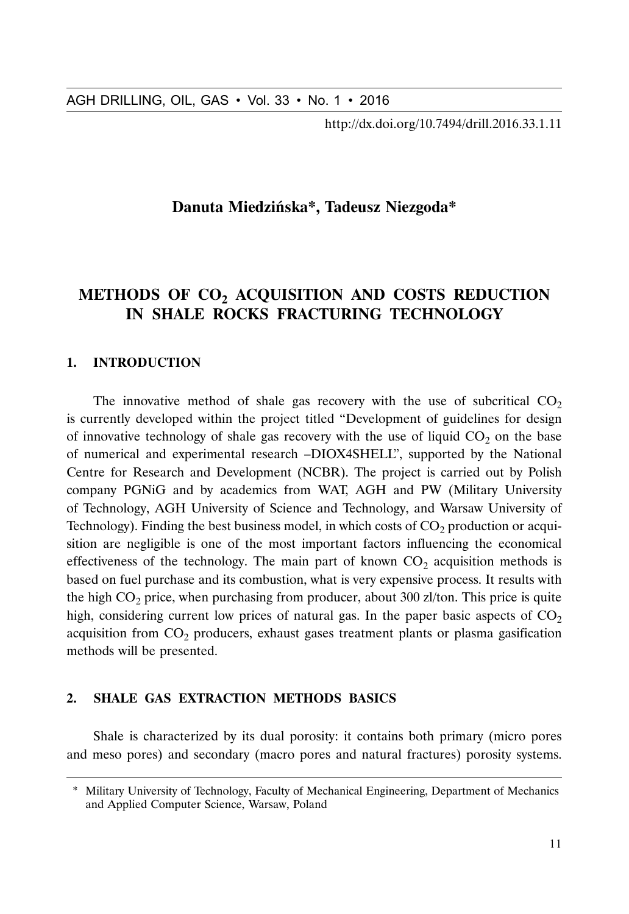http://dx.doi.org/10.7494/drill.2016.33.1.11

# **Danuta Miedzińska\*, Tadeusz Niezgoda\***

# **METHODS OF CO<sub>2</sub> ACQUISITION AND COSTS REDUCTION IN SHALE ROCKS FRACTURING TECHNOLOGY**

### **1. INTRODUCTION**

The innovative method of shale gas recovery with the use of subcritical  $CO<sub>2</sub>$ is currently developed within the project titled "Development of guidelines for design of innovative technology of shale gas recovery with the use of liquid  $CO<sub>2</sub>$  on the base of numerical and experimental research –DIOX4SHELL", supported by the National Centre for Research and Development (NCBR). The project is carried out by Polish company PGNiG and by academics from WAT, AGH and PW (Military University of Technology, AGH University of Science and Technology, and Warsaw University of Technology). Finding the best business model, in which costs of  $CO<sub>2</sub>$  production or acquisition are negligible is one of the most important factors influencing the economical effectiveness of the technology. The main part of known  $CO<sub>2</sub>$  acquisition methods is based on fuel purchase and its combustion, what is very expensive process. It results with the high  $CO<sub>2</sub>$  price, when purchasing from producer, about 300 zl/ton. This price is quite high, considering current low prices of natural gas. In the paper basic aspects of  $CO<sub>2</sub>$ acquisition from  $CO<sub>2</sub>$  producers, exhaust gases treatment plants or plasma gasification methods will be presented.

### **2. SHALE GAS EXTRACTION METHODS BASICS**

Shale is characterized by its dual porosity: it contains both primary (micro pores and meso pores) and secondary (macro pores and natural fractures) porosity systems.

<sup>\*</sup> Military University of Technology, Faculty of Mechanical Engineering, Department of Mechanics and Applied Computer Science, Warsaw, Poland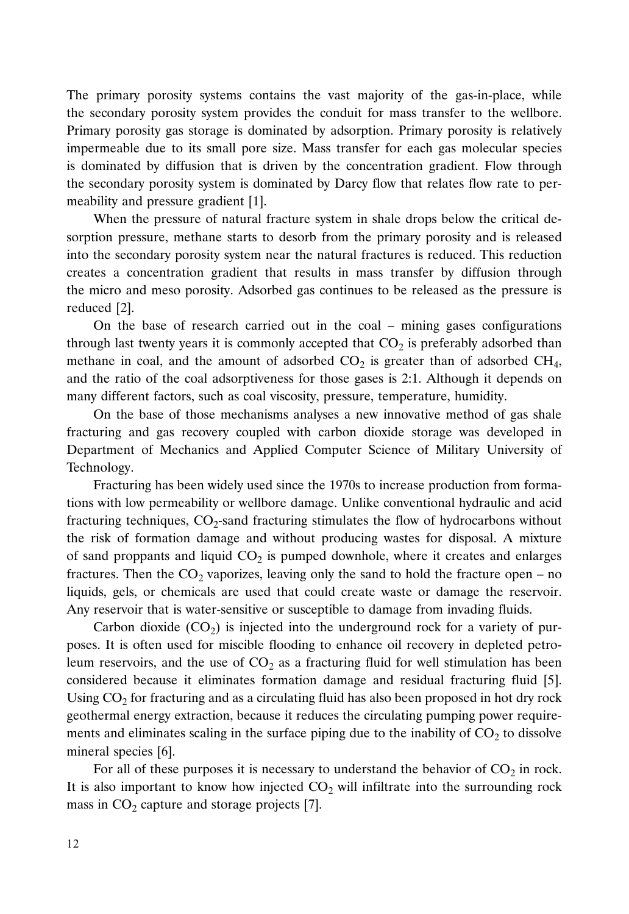the secondary porosity system provides the conduit for mass transfer to the wellbore. Primary porosity gas storage is dominated by adsorption. Primary porosity is relatively impermeable due to its small pore size. Mass transfer for each gas molecular species is dominated by diffusion that is driven by the concentration gradient. Flow through the secondary porosity system is dominated by Darcy flow that relates flow rate to permeability and pressure gradient [1].

When the pressure of natural fracture system in shale drops below the critical desorption pressure, methane starts to desorb from the primary porosity and is released into the secondary porosity system near the natural fractures is reduced. This reduction creates a concentration gradient that results in mass transfer by diffusion through the micro and meso porosity. Adsorbed gas continues to be released as the pressure is reduced [2].

On the base of research carried out in the coal – mining gases configurations through last twenty years it is commonly accepted that  $CO<sub>2</sub>$  is preferably adsorbed than methane in coal, and the amount of adsorbed  $CO<sub>2</sub>$  is greater than of adsorbed  $CH<sub>4</sub>$ , and the ratio of the coal adsorptiveness for those gases is 2:1. Although it depends on many different factors, such as coal viscosity, pressure, temperature, humidity.

On the base of those mechanisms analyses a new innovative method of gas shale fracturing and gas recovery coupled with carbon dioxide storage was developed in Department of Mechanics and Applied Computer Science of Military University of Technology.

The primary porosity system soutations the vest majority of the gas-in-place, while<br>The primary porosity system provides the conduit for mass transfer to the wellbox-<br>Frimary protosity as storage is dominated by adsorptio Fracturing has been widely used since the 1970s to increase production from formations with low permeability or wellbore damage. Unlike conventional hydraulic and acid fracturing techniques,  $CO<sub>2</sub>$ -sand fracturing stimulates the flow of hydrocarbons without the risk of formation damage and without producing wastes for disposal. A mixture of sand proppants and liquid  $CO<sub>2</sub>$  is pumped downhole, where it creates and enlarges fractures. Then the  $CO_2$  vaporizes, leaving only the sand to hold the fracture open – no liquids, gels, or chemicals are used that could create waste or damage the reservoir. Any reservoir that is water-sensitive or susceptible to damage from invading fluids.

Carbon dioxide  $(CO<sub>2</sub>)$  is injected into the underground rock for a variety of purposes. It is often used for miscible flooding to enhance oil recovery in depleted petroleum reservoirs, and the use of  $CO<sub>2</sub>$  as a fracturing fluid for well stimulation has been considered because it eliminates formation damage and residual fracturing fluid [5]. Using  $CO<sub>2</sub>$  for fracturing and as a circulating fluid has also been proposed in hot dry rock geothermal energy extraction, because it reduces the circulating pumping power requirements and eliminates scaling in the surface piping due to the inability of  $CO<sub>2</sub>$  to dissolve mineral species [6].

For all of these purposes it is necessary to understand the behavior of  $CO<sub>2</sub>$  in rock. It is also important to know how injected  $CO<sub>2</sub>$  will infiltrate into the surrounding rock mass in  $CO<sub>2</sub>$  capture and storage projects [7].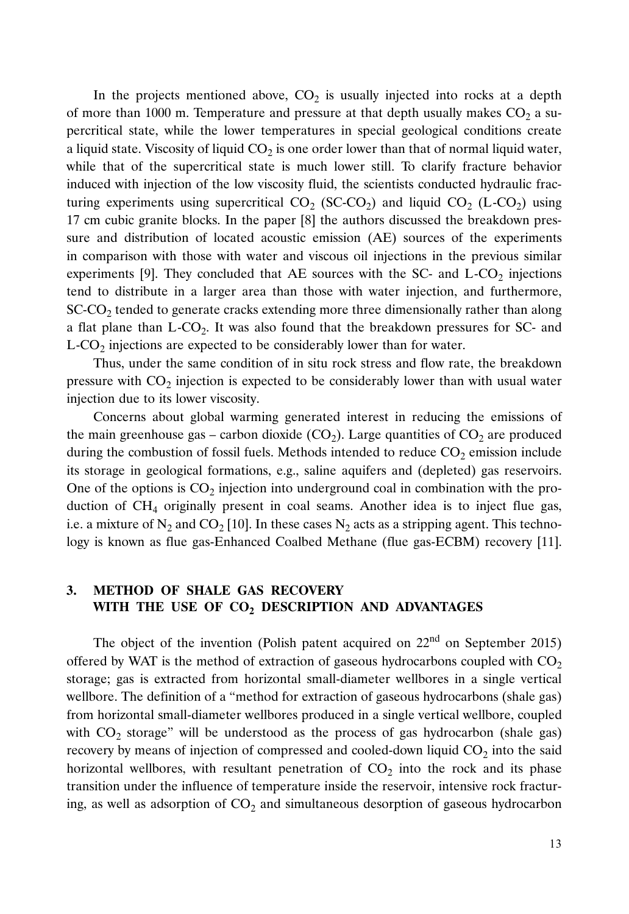In the projects mentioned above,  $CO<sub>2</sub>$  is usually injected into rocks at a depth of more than 1000 m. Temperature and pressure at that depth usually makes  $CO<sub>2</sub>$  a supercritical state, while the lower temperatures in special geological conditions create a liquid state. Viscosity of liquid  $CO<sub>2</sub>$  is one order lower than that of normal liquid water, while that of the supercritical state is much lower still. To clarify fracture behavior induced with injection of the low viscosity fluid, the scientists conducted hydraulic fracturing experiments using supercritical  $CO_2$  (SC-CO<sub>2</sub>) and liquid  $CO_2$  (L-CO<sub>2</sub>) using 17 cm cubic granite blocks. In the paper [8] the authors discussed the breakdown pressure and distribution of located acoustic emission (AE) sources of the experiments in comparison with those with water and viscous oil injections in the previous similar experiments [9]. They concluded that AE sources with the SC- and  $L$ -CO<sub>2</sub> injections tend to distribute in a larger area than those with water injection, and furthermore,  $SC\text{-}CO<sub>2</sub>$  tended to generate cracks extending more three dimensionally rather than along a flat plane than  $L$ -CO<sub>2</sub>. It was also found that the breakdown pressures for SC- and  $L$ -CO<sub>2</sub> injections are expected to be considerably lower than for water.

Thus, under the same condition of in situ rock stress and flow rate, the breakdown pressure with  $CO<sub>2</sub>$  injection is expected to be considerably lower than with usual water injection due to its lower viscosity.

Concerns about global warming generated interest in reducing the emissions of the main greenhouse gas – carbon dioxide  $(CO_2)$ . Large quantities of  $CO_2$  are produced during the combustion of fossil fuels. Methods intended to reduce  $CO<sub>2</sub>$  emission include its storage in geological formations, e.g., saline aquifers and (depleted) gas reservoirs. One of the options is  $CO<sub>2</sub>$  injection into underground coal in combination with the production of  $CH<sub>4</sub>$  originally present in coal seams. Another idea is to inject flue gas, i.e. a mixture of N<sub>2</sub> and CO<sub>2</sub> [10]. In these cases N<sub>2</sub> acts as a stripping agent. This technology is known as flue gas-Enhanced Coalbed Methane (flue gas-ECBM) recovery [11].

# **3. METHOD OF SHALE GAS RECOVERY** WITH THE USE OF CO<sub>2</sub> DESCRIPTION AND ADVANTAGES

The object of the invention (Polish patent acquired on  $22<sup>nd</sup>$  on September 2015) offered by WAT is the method of extraction of gaseous hydrocarbons coupled with  $CO<sub>2</sub>$ storage; gas is extracted from horizontal small-diameter wellbores in a single vertical wellbore. The definition of a "method for extraction of gaseous hydrocarbons (shale gas) from horizontal small-diameter wellbores produced in a single vertical wellbore, coupled with  $CO<sub>2</sub>$  storage" will be understood as the process of gas hydrocarbon (shale gas) recovery by means of injection of compressed and cooled-down liquid  $CO<sub>2</sub>$  into the said horizontal wellbores, with resultant penetration of  $CO<sub>2</sub>$  into the rock and its phase transition under the influence of temperature inside the reservoir, intensive rock fracturing, as well as adsorption of  $CO<sub>2</sub>$  and simultaneous desorption of gaseous hydrocarbon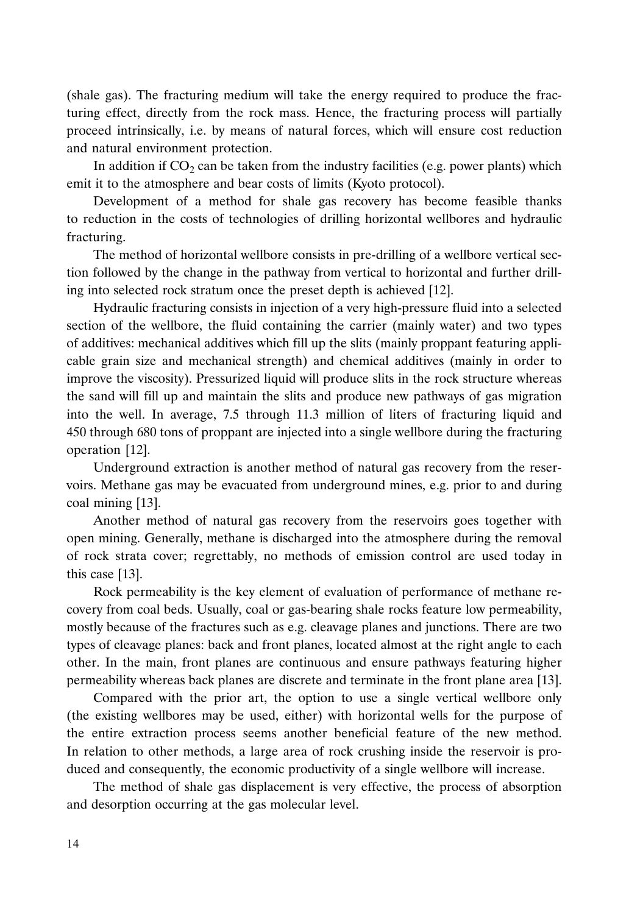(shale gas). The fracturing medium will take the energy required to produce the fracturing effect, directly from the rock mass. Hence, the fracturing process will partially proceed intrinsically, i.e. by means of natural forces, which will ensure cost reduction and natural environment protection.

In addition if  $CO<sub>2</sub>$  can be taken from the industry facilities (e.g. power plants) which emit it to the atmosphere and bear costs of limits (Kyoto protocol).

Development of a method for shale gas recovery has become feasible thanks to reduction in the costs of technologies of drilling horizontal wellbores and hydraulic fracturing.

The method of horizontal wellbore consists in pre-drilling of a wellbore vertical section followed by the change in the pathway from vertical to horizontal and further drilling into selected rock stratum once the preset depth is achieved [12].

Hydraulic fracturing consists in injection of a very high-pressure fluid into a selected section of the wellbore, the fluid containing the carrier (mainly water) and two types of additives: mechanical additives which fill up the slits (mainly proppant featuring applicable grain size and mechanical strength) and chemical additives (mainly in order to improve the viscosity). Pressurized liquid will produce slits in the rock structure whereas the sand will fill up and maintain the slits and produce new pathways of gas migration into the well. In average, 7.5 through 11.3 million of liters of fracturing liquid and 450 through 680 tons of proppant are injected into a single wellbore during the fracturing operation [12].

Underground extraction is another method of natural gas recovery from the reservoirs. Methane gas may be evacuated from underground mines, e.g. prior to and during coal mining [13].

Another method of natural gas recovery from the reservoirs goes together with open mining. Generally, methane is discharged into the atmosphere during the removal of rock strata cover; regrettably, no methods of emission control are used today in this case [13].

Rock permeability is the key element of evaluation of performance of methane recovery from coal beds. Usually, coal or gas-bearing shale rocks feature low permeability, mostly because of the fractures such as e.g. cleavage planes and junctions. There are two types of cleavage planes: back and front planes, located almost at the right angle to each other. In the main, front planes are continuous and ensure pathways featuring higher permeability whereas back planes are discrete and terminate in the front plane area [13].

Compared with the prior art, the option to use a single vertical wellbore only (the existing wellbores may be used, either) with horizontal wells for the purpose of the entire extraction process seems another beneficial feature of the new method. In relation to other methods, a large area of rock crushing inside the reservoir is produced and consequently, the economic productivity of a single wellbore will increase.

The method of shale gas displacement is very effective, the process of absorption and desorption occurring at the gas molecular level.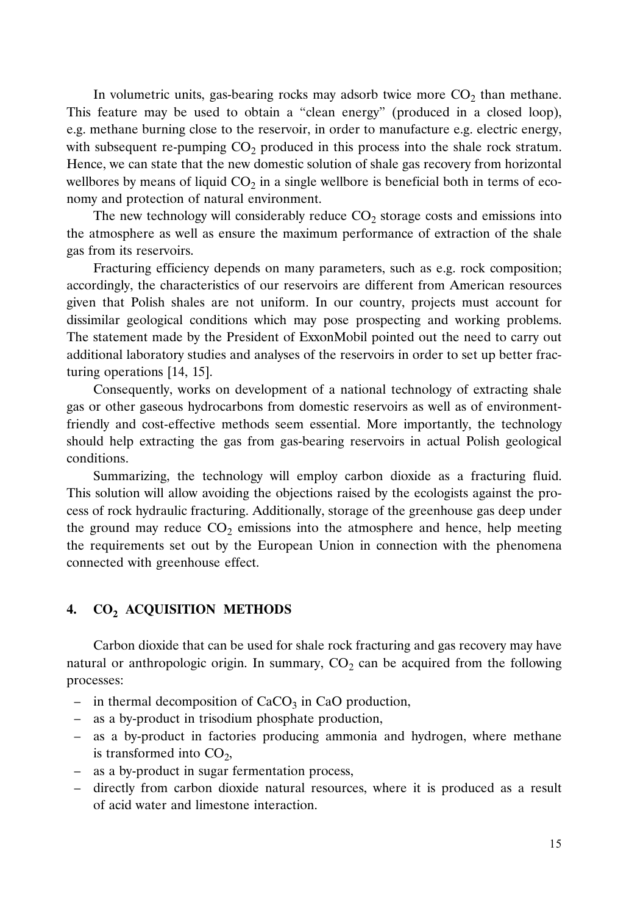In volumetric units, gas-bearing rocks may adsorb twice more  $CO<sub>2</sub>$  than methane. This feature may be used to obtain a "clean energy" (produced in a closed loop), e.g. methane burning close to the reservoir, in order to manufacture e.g. electric energy, with subsequent re-pumping  $CO<sub>2</sub>$  produced in this process into the shale rock stratum. Hence, we can state that the new domestic solution of shale gas recovery from horizontal wellbores by means of liquid  $CO<sub>2</sub>$  in a single wellbore is beneficial both in terms of economy and protection of natural environment.

The new technology will considerably reduce  $CO<sub>2</sub>$  storage costs and emissions into the atmosphere as well as ensure the maximum performance of extraction of the shale gas from its reservoirs.

Fracturing efficiency depends on many parameters, such as e.g. rock composition; accordingly, the characteristics of our reservoirs are different from American resources given that Polish shales are not uniform. In our country, projects must account for dissimilar geological conditions which may pose prospecting and working problems. The statement made by the President of ExxonMobil pointed out the need to carry out additional laboratory studies and analyses of the reservoirs in order to set up better fracturing operations [14, 15].

Consequently, works on development of a national technology of extracting shale gas or other gaseous hydrocarbons from domestic reservoirs as well as of environmentfriendly and cost-effective methods seem essential. More importantly, the technology should help extracting the gas from gas-bearing reservoirs in actual Polish geological conditions.

Summarizing, the technology will employ carbon dioxide as a fracturing fluid. This solution will allow avoiding the objections raised by the ecologists against the process of rock hydraulic fracturing. Additionally, storage of the greenhouse gas deep under the ground may reduce  $CO<sub>2</sub>$  emissions into the atmosphere and hence, help meeting the requirements set out by the European Union in connection with the phenomena connected with greenhouse effect.

#### **4. CO<sub>2</sub> ACQUISITION METHODS**

Carbon dioxide that can be used for shale rock fracturing and gas recovery may have natural or anthropologic origin. In summary,  $CO<sub>2</sub>$  can be acquired from the following processes:

- in thermal decomposition of  $CaCO<sub>3</sub>$  in CaO production,
- as a by-product in trisodium phosphate production,
- as a by-product in factories producing ammonia and hydrogen, where methane is transformed into  $CO<sub>2</sub>$ ,
- as a by-product in sugar fermentation process,
- directly from carbon dioxide natural resources, where it is produced as a result of acid water and limestone interaction.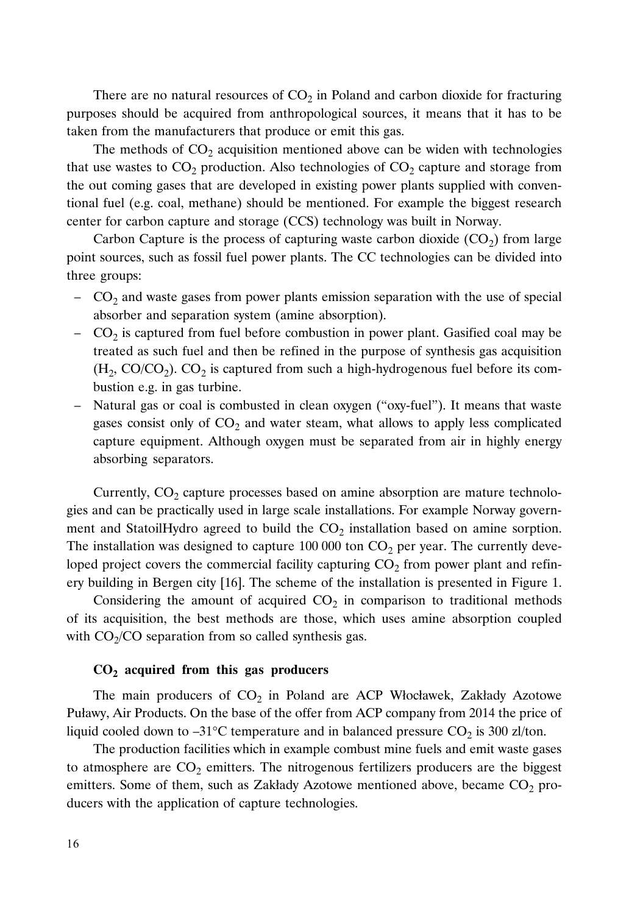There are no natural resources of  $CO<sub>2</sub>$  in Poland and carbon dioxide for fracturing purposes should be acquired from anthropological sources, it means that it has to be taken from the manufacturers that produce or emit this gas.

The methods of  $CO<sub>2</sub>$  acquisition mentioned above can be widen with technologies that use wastes to  $CO_2$  production. Also technologies of  $CO_2$  capture and storage from the out coming gases that are developed in existing power plants supplied with conventional fuel (e.g. coal, methane) should be mentioned. For example the biggest research center for carbon capture and storage (CCS) technology was built in Norway.

Carbon Capture is the process of capturing waste carbon dioxide  $(CO<sub>2</sub>)$  from large point sources, such as fossil fuel power plants. The CC technologies can be divided into three groups:

- $\sim$  CO<sub>2</sub> and waste gases from power plants emission separation with the use of special absorber and separation system (amine absorption).
- $CO<sub>2</sub>$  is captured from fuel before combustion in power plant. Gasified coal may be treated as such fuel and then be refined in the purpose of synthesis gas acquisition  $(H_2, CO/CO_2)$ .  $CO_2$  is captured from such a high-hydrogenous fuel before its combustion e.g. in gas turbine.
- Natural gas or coal is combusted in clean oxygen ("oxy-fuel"). It means that waste gases consist only of  $CO<sub>2</sub>$  and water steam, what allows to apply less complicated capture equipment. Although oxygen must be separated from air in highly energy absorbing separators.

Currently,  $CO<sub>2</sub>$  capture processes based on amine absorption are mature technologies and can be practically used in large scale installations. For example Norway government and StatoilHydro agreed to build the  $CO<sub>2</sub>$  installation based on amine sorption. The installation was designed to capture  $100\,000$  ton  $CO<sub>2</sub>$  per year. The currently developed project covers the commercial facility capturing  $CO<sub>2</sub>$  from power plant and refinery building in Bergen city [16]. The scheme of the installation is presented in Figure 1.

Considering the amount of acquired  $CO<sub>2</sub>$  in comparison to traditional methods of its acquisition, the best methods are those, which uses amine absorption coupled with  $CO<sub>2</sub>/CO$  separation from so called synthesis gas.

#### **CO2 acquired from this gas producers**

The main producers of  $CO<sub>2</sub>$  in Poland are ACP Włocławek, Zakłady Azotowe Puławy, Air Products. On the base of the offer from ACP company from 2014 the price of liquid cooled down to  $-31^{\circ}$ C temperature and in balanced pressure CO<sub>2</sub> is 300 zl/ton.

The production facilities which in example combust mine fuels and emit waste gases to atmosphere are  $CO<sub>2</sub>$  emitters. The nitrogenous fertilizers producers are the biggest emitters. Some of them, such as Zakłady Azotowe mentioned above, became  $CO<sub>2</sub>$  producers with the application of capture technologies.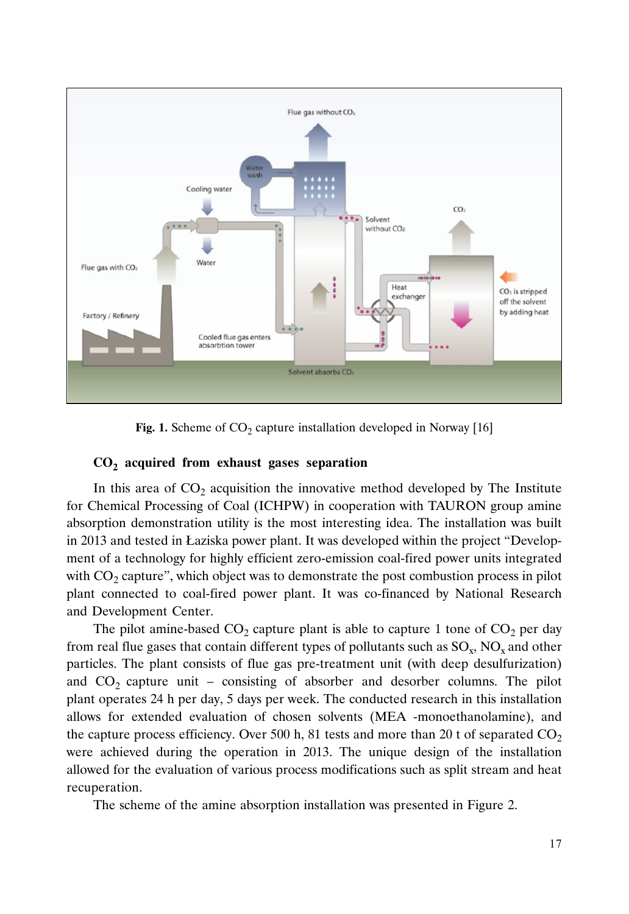

Fig. 1. Scheme of CO<sub>2</sub> capture installation developed in Norway [16]

## **CO2 acquired from exhaust gases separation**

In this area of  $CO<sub>2</sub>$  acquisition the innovative method developed by The Institute for Chemical Processing of Coal (ICHPW) in cooperation with TAURON group amine absorption demonstration utility is the most interesting idea. The installation was built in 2013 and tested in Łaziska power plant. It was developed within the project "Development of a technology for highly efficient zero-emission coal-fired power units integrated with  $CO<sub>2</sub>$  capture", which object was to demonstrate the post combustion process in pilot plant connected to coal-fired power plant. It was co-financed by National Research and Development Center.

The pilot amine-based  $CO<sub>2</sub>$  capture plant is able to capture 1 tone of  $CO<sub>2</sub>$  per day from real flue gases that contain different types of pollutants such as  $SO_x$ ,  $NO_x$  and other particles. The plant consists of flue gas pre-treatment unit (with deep desulfurization) and  $CO<sub>2</sub>$  capture unit – consisting of absorber and desorber columns. The pilot plant operates 24 h per day, 5 days per week. The conducted research in this installation allows for extended evaluation of chosen solvents (MEA -monoethanolamine), and the capture process efficiency. Over 500 h, 81 tests and more than 20 t of separated  $CO<sub>2</sub>$ were achieved during the operation in 2013. The unique design of the installation allowed for the evaluation of various process modifications such as split stream and heat recuperation.

The scheme of the amine absorption installation was presented in Figure 2.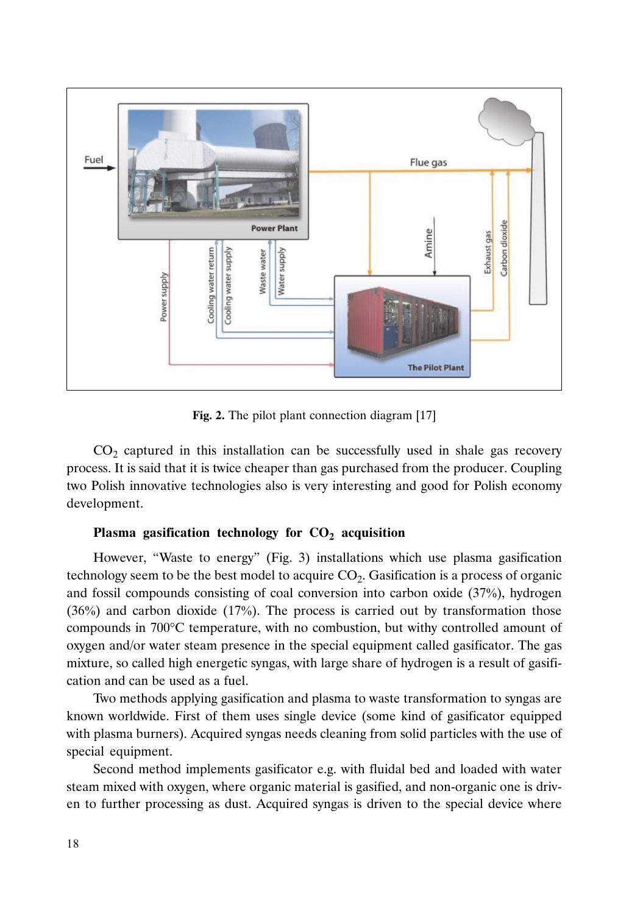

**Fig. 2.** The pilot plant connection diagram [17]

 $CO<sub>2</sub>$  captured in this installation can be successfully used in shale gas recovery process. It is said that it is twice cheaper than gas purchased from the producer. Coupling two Polish innovative technologies also is very interesting and good for Polish economy development.

# Plasma gasification technology for  $CO<sub>2</sub>$  acquisition

However, "Waste to energy" (Fig. 3) installations which use plasma gasification technology seem to be the best model to acquire  $CO<sub>2</sub>$ . Gasification is a process of organic and fossil compounds consisting of coal conversion into carbon oxide (37%), hydrogen (36%) and carbon dioxide (17%). The process is carried out by transformation those compounds in 700°C temperature, with no combustion, but withy controlled amount of oxygen and/or water steam presence in the special equipment called gasificator. The gas mixture, so called high energetic syngas, with large share of hydrogen is a result of gasification and can be used as a fuel.

Two methods applying gasification and plasma to waste transformation to syngas are known worldwide. First of them uses single device (some kind of gasificator equipped with plasma burners). Acquired syngas needs cleaning from solid particles with the use of special equipment.

Second method implements gasificator e.g. with fluidal bed and loaded with water steam mixed with oxygen, where organic material is gasified, and non-organic one is driven to further processing as dust. Acquired syngas is driven to the special device where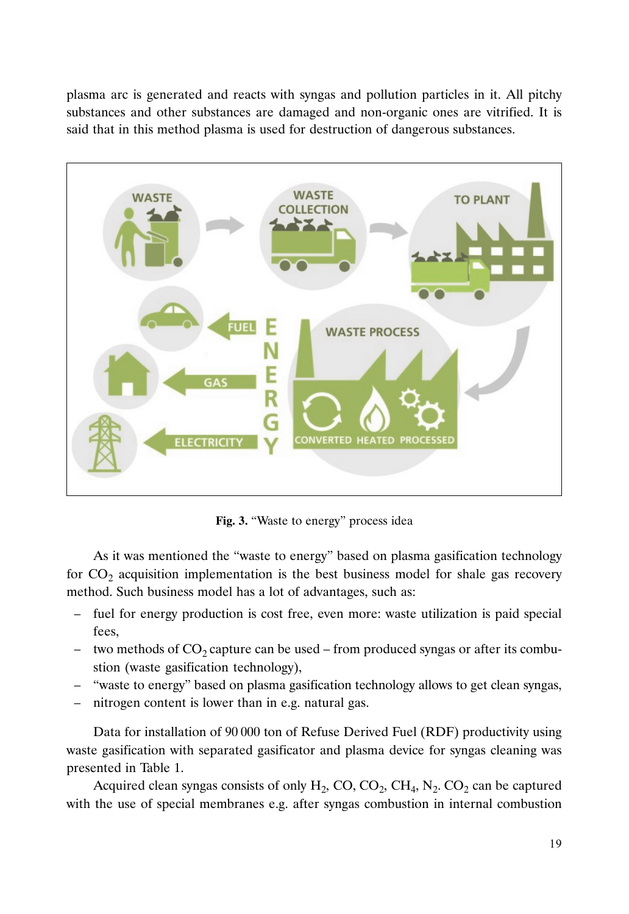plasma arc is generated and reacts with syngas and pollution particles in it. All pitchy substances and other substances are damaged and non-organic ones are vitrified. It is said that in this method plasma is used for destruction of dangerous substances.



**Fig. 3.** "Waste to energy" process idea

As it was mentioned the "waste to energy" based on plasma gasification technology for  $CO<sub>2</sub>$  acquisition implementation is the best business model for shale gas recovery method. Such business model has a lot of advantages, such as:

- fuel for energy production is cost free, even more: waste utilization is paid special fees,
- two methods of  $CO_2$  capture can be used from produced syngas or after its combustion (waste gasification technology),
- "waste to energy" based on plasma gasification technology allows to get clean syngas,
- nitrogen content is lower than in e.g. natural gas.

Data for installation of 90 000 ton of Refuse Derived Fuel (RDF) productivity using waste gasification with separated gasificator and plasma device for syngas cleaning was presented in Table 1.

Acquired clean syngas consists of only  $H_2$ , CO, CO<sub>2</sub>, CH<sub>4</sub>, N<sub>2</sub>. CO<sub>2</sub> can be captured with the use of special membranes e.g. after syngas combustion in internal combustion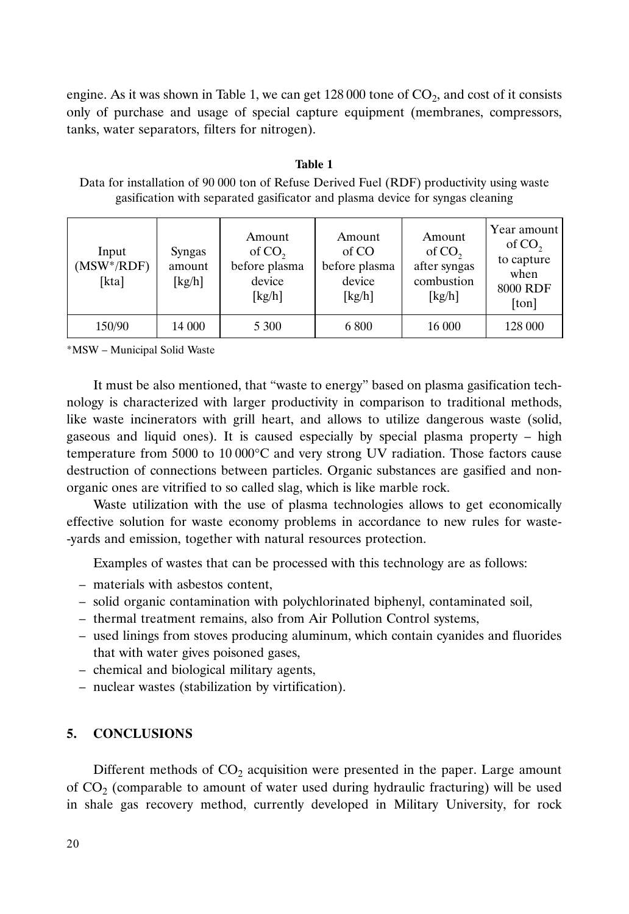engine. As it was shown in Table 1, we can get  $128\,000$  tone of  $CO<sub>2</sub>$ , and cost of it consists only of purchase and usage of special capture equipment (membranes, compressors, tanks, water separators, filters for nitrogen).

#### **Table 1**

| Input<br>$(MSW^*/RDF)$<br>[kta] | Syngas<br>amount<br>[kg/h] | Amount<br>of CO <sub>2</sub><br>before plasma<br>device<br>[kg/h] | Amount<br>of CO<br>before plasma<br>device<br>[kg/h] | Amount<br>of $CO2$<br>after syngas<br>combustion<br>[kg/h] | Year amount<br>of CO <sub>2</sub><br>to capture<br>when<br>8000 RDF<br>[ton] |
|---------------------------------|----------------------------|-------------------------------------------------------------------|------------------------------------------------------|------------------------------------------------------------|------------------------------------------------------------------------------|
| 150/90                          | 14 000                     | 5 300                                                             | 6 800                                                | 16 000                                                     | 128 000                                                                      |

Data for installation of 90 000 ton of Refuse Derived Fuel (RDF) productivity using waste gasification with separated gasificator and plasma device for syngas cleaning

\*MSW – Municipal Solid Waste

It must be also mentioned, that "waste to energy" based on plasma gasification technology is characterized with larger productivity in comparison to traditional methods, like waste incinerators with grill heart, and allows to utilize dangerous waste (solid, gaseous and liquid ones). It is caused especially by special plasma property – high temperature from 5000 to 10 000°C and very strong UV radiation. Those factors cause destruction of connections between particles. Organic substances are gasified and nonorganic ones are vitrified to so called slag, which is like marble rock.

Waste utilization with the use of plasma technologies allows to get economically effective solution for waste economy problems in accordance to new rules for waste- -yards and emission, together with natural resources protection.

Examples of wastes that can be processed with this technology are as follows:

- materials with asbestos content,
- solid organic contamination with polychlorinated biphenyl, contaminated soil,
- thermal treatment remains, also from Air Pollution Control systems,
- used linings from stoves producing aluminum, which contain cyanides and fluorides that with water gives poisoned gases,
- chemical and biological military agents,
- nuclear wastes (stabilization by virtification).

# **5. CONCLUSIONS**

Different methods of  $CO<sub>2</sub>$  acquisition were presented in the paper. Large amount of  $CO<sub>2</sub>$  (comparable to amount of water used during hydraulic fracturing) will be used in shale gas recovery method, currently developed in Military University, for rock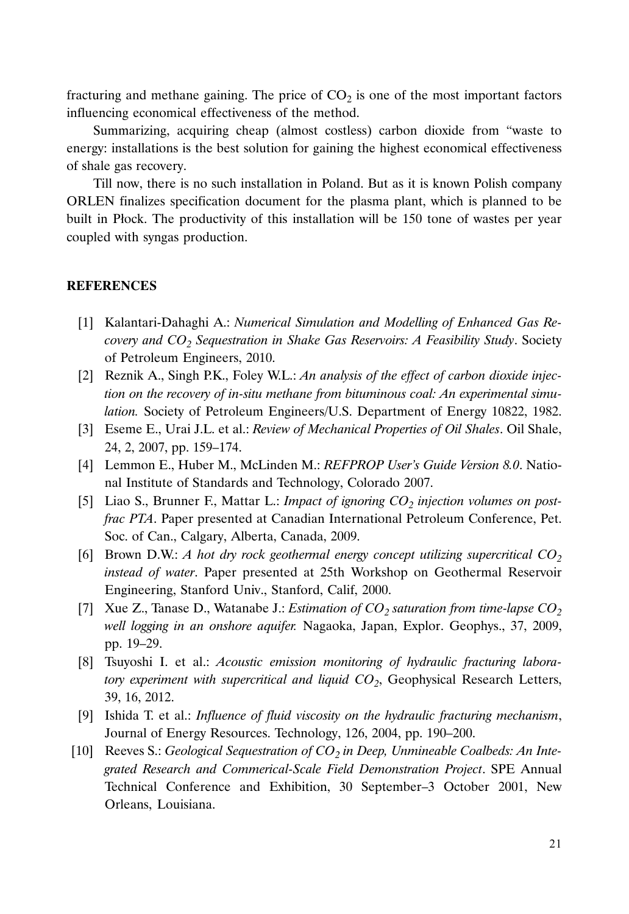fracturing and methane gaining. The price of  $CO<sub>2</sub>$  is one of the most important factors influencing economical effectiveness of the method.

Summarizing, acquiring cheap (almost costless) carbon dioxide from "waste to energy: installations is the best solution for gaining the highest economical effectiveness of shale gas recovery.

Till now, there is no such installation in Poland. But as it is known Polish company ORLEN finalizes specification document for the plasma plant, which is planned to be built in Płock. The productivity of this installation will be 150 tone of wastes per year coupled with syngas production.

# **REFERENCES**

- [1] Kalantari-Dahaghi A.: *Numerical Simulation and Modelling of Enhanced Gas Recovery and CO2 Sequestration in Shake Gas Reservoirs: A Feasibility Study*. Society of Petroleum Engineers, 2010.
- [2] Reznik A., Singh P.K., Foley W.L.: *An analysis of the effect of carbon dioxide injection on the recovery of in-situ methane from bituminous coal: An experimental simulation.* Society of Petroleum Engineers/U.S. Department of Energy 10822, 1982.
- [3] Eseme E., Urai J.L. et al.: *Review of Mechanical Properties of Oil Shales*. Oil Shale, 24, 2, 2007, pp. 159–174.
- [4] Lemmon E., Huber M., McLinden M.: *REFPROP User's Guide Version 8.0*. National Institute of Standards and Technology, Colorado 2007.
- [5] Liao S., Brunner F., Mattar L.: *Impact of ignoring CO<sub>2</sub> injection volumes on postfrac PTA*. Paper presented at Canadian International Petroleum Conference, Pet. Soc. of Can., Calgary, Alberta, Canada, 2009.
- [6] Brown D.W.:  $A$  hot dry rock geothermal energy concept utilizing supercritical  $CO<sub>2</sub>$ *instead of water*. Paper presented at 25th Workshop on Geothermal Reservoir Engineering, Stanford Univ., Stanford, Calif, 2000.
- [7] Xue Z., Tanase D., Watanabe J.: *Estimation of CO<sub>2</sub> saturation from time-lapse CO<sub>2</sub> well logging in an onshore aquifer.* Nagaoka, Japan, Explor. Geophys., 37, 2009, pp. 19–29.
- [8] Tsuyoshi I. et al.: *Acoustic emission monitoring of hydraulic fracturing laboratory experiment with supercritical and liquid CO<sub>2</sub>*, Geophysical Research Letters, 39, 16, 2012.
- [9] Ishida T. et al.: *Influence of fluid viscosity on the hydraulic fracturing mechanism*, Journal of Energy Resources. Technology, 126, 2004, pp. 190–200.
- [10] Reeves S.: Geological Sequestration of CO<sub>2</sub> in Deep, Unmineable Coalbeds: An Inte*grated Research and Commerical-Scale Field Demonstration Project*. SPE Annual Technical Conference and Exhibition, 30 September–3 October 2001, New Orleans, Louisiana.